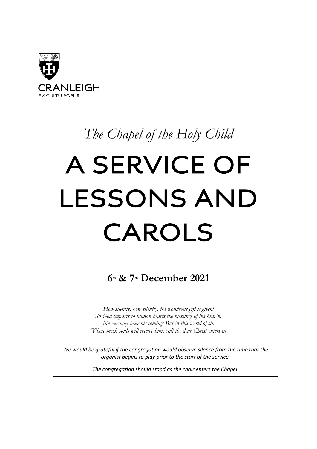

# *The Chapel of the Holy Child*

# A SERVICE OF LESSONS AND CAROLS

**6th & 7th December 2021**

*How silently, how silently, the wondrous gift is given! So God imparts to human hearts the blessings of his heav'n. No ear may hear his coming; But in this world of sin Where meek souls will receive him, still the dear Christ enters in*

*We would be grateful if the congregation would observe silence from the time that the organist begins to play prior to the start of the service.*

*The congregation should stand as the choir enters the Chapel.*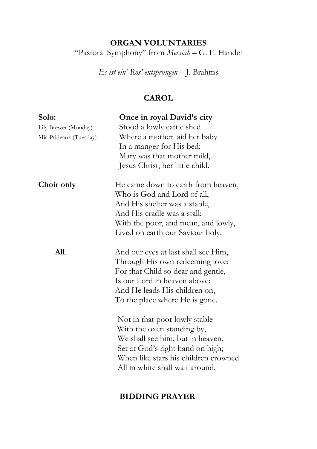# **ORGAN VOLUNTARIES** "Pastoral Symphony" from *Messiah* – G. F. Handel

*Es ist ein' Ros' entsprungen* – J. Brahms

# **CAROL**

| Solo:<br>Lily Brewer (Monday)<br>Mia Prideaux (Tuesday) | Once in royal David's city<br>Stood a lowly cattle shed<br>Where a mother laid her baby<br>In a manger for His bed:<br>Mary was that mother mild,<br>Jesus Christ, her little child.                            |
|---------------------------------------------------------|-----------------------------------------------------------------------------------------------------------------------------------------------------------------------------------------------------------------|
| Choir only                                              | He came down to earth from heaven,<br>Who is God and Lord of all,<br>And His shelter was a stable,<br>And His cradle was a stall:<br>With the poor, and mean, and lowly,<br>Lived on earth our Saviour holy.    |
| <b>All.</b>                                             | And our eyes at last shall see Him,<br>Through His own redeeming love;<br>For that Child so dear and gentle,<br>Is our Lord in heaven above:<br>And He leads His children on,<br>To the place where He is gone. |
|                                                         | Not in that poor lowly stable<br>With the oxen standing by,<br>We shall see him; but in heaven,<br>Set at God's right hand on high;<br>When like stars his children crowned<br>All in white shall wait around.  |

# **BIDDING PRAYER**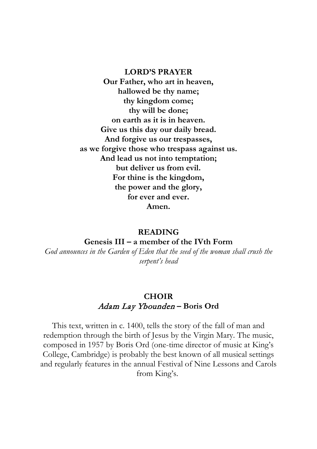#### **LORD'S PRAYER**

**Our Father, who art in heaven, hallowed be thy name; thy kingdom come; thy will be done; on earth as it is in heaven. Give us this day our daily bread. And forgive us our trespasses, as we forgive those who trespass against us. And lead us not into temptation; but deliver us from evil. For thine is the kingdom, the power and the glory, for ever and ever. Amen.**

#### **READING**

#### **Genesis III – a member of the IVth Form**

*God announces in the Garden of Eden that the seed of the woman shall crush the serpent's head*

# **CHOIR** Adam Lay Ybounden **– Boris Ord**

This text, written in c. 1400, tells the story of the fall of man and redemption through the birth of Jesus by the Virgin Mary. The music, composed in 1957 by Boris Ord (one-time director of music at King's College, Cambridge) is probably the best known of all musical settings and regularly features in the annual Festival of Nine Lessons and Carols from King's.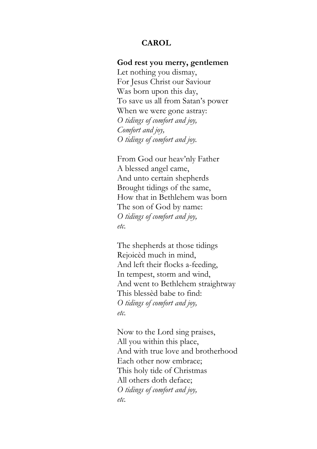#### **CAROL**

#### **God rest you merry, gentlemen**

Let nothing you dismay, For Jesus Christ our Saviour Was born upon this day, To save us all from Satan's power When we were gone astray: *O tidings of comfort and joy, Comfort and joy, O tidings of comfort and joy.*

From God our heav'nly Father A blessed angel came, And unto certain shepherds Brought tidings of the same, How that in Bethlehem was born The son of God by name: *O tidings of comfort and joy, etc.*

The shepherds at those tidings Rejoicèd much in mind, And left their flocks a-feeding, In tempest, storm and wind, And went to Bethlehem straightway This blessèd babe to find: *O tidings of comfort and joy, etc.*

Now to the Lord sing praises, All you within this place, And with true love and brotherhood Each other now embrace; This holy tide of Christmas All others doth deface; *O tidings of comfort and joy, etc.*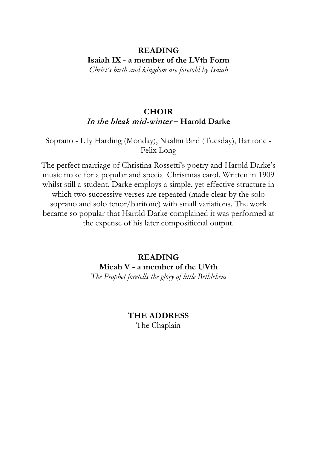# **READING Isaiah IX - a member of the LVth Form**

*Christ's birth and kingdom are foretold by Isaiah*

# **CHOIR** In the bleak mid-winter **– Harold Darke**

Soprano - Lily Harding (Monday), Naalini Bird (Tuesday), Baritone - Felix Long

The perfect marriage of Christina Rossetti's poetry and Harold Darke's music make for a popular and special Christmas carol. Written in 1909 whilst still a student, Darke employs a simple, yet effective structure in which two successive verses are repeated (made clear by the solo soprano and solo tenor/baritone) with small variations. The work became so popular that Harold Darke complained it was performed at the expense of his later compositional output.

> **READING Micah V - a member of the UVth**

*The Prophet foretells the glory of little Bethlehem*

**THE ADDRESS** The Chaplain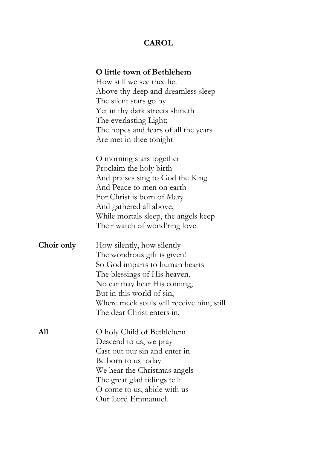# **CAROL**

#### **O little town of Bethlehem**

How still we see thee lie. Above thy deep and dreamless sleep The silent stars go by Yet in thy dark streets shineth The everlasting Light; The hopes and fears of all the years Are met in thee tonight

O morning stars together Proclaim the holy birth And praises sing to God the King And Peace to men on earth For Christ is born of Mary And gathered all above, While mortals sleep, the angels keep Their watch of wond'ring love.

**Choir only** How silently, how silently The wondrous gift is given! So God imparts to human hearts The blessings of His heaven. No ear may hear His coming, But in this world of sin, Where meek souls will receive him, still The dear Christ enters in.

**All** O holy Child of Bethlehem Descend to us, we pray Cast out our sin and enter in Be born to us today We hear the Christmas angels The great glad tidings tell: O come to us, abide with us Our Lord Emmanuel.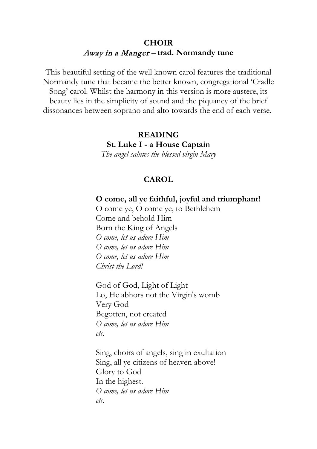# **CHOIR** Away in a Manger – **trad. Normandy tune**

This beautiful setting of the well known carol features the traditional Normandy tune that became the better known, congregational 'Cradle Song' carol. Whilst the harmony in this version is more austere, its beauty lies in the simplicity of sound and the piquancy of the brief dissonances between soprano and alto towards the end of each verse.

> **READING St. Luke I - a House Captain** *The angel salutes the blessed virgin Mary*

#### **CAROL**

**O come, all ye faithful, joyful and triumphant!**

O come ye, O come ye, to Bethlehem Come and behold Him Born the King of Angels *O come, let us adore Him O come, let us adore Him O come, let us adore Him Christ the Lord!*

God of God, Light of Light Lo, He abhors not the Virgin's womb Very God Begotten, not created *O come, let us adore Him etc.*

Sing, choirs of angels, sing in exultation Sing, all ye citizens of heaven above! Glory to God In the highest. *O come, let us adore Him etc.*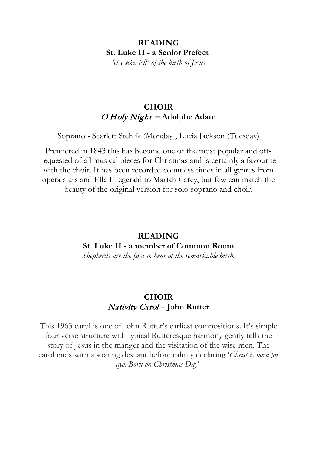# **READING St. Luke II - a Senior Prefect**

*St Luke tells of the birth of Jesus*

# **CHOIR** O Holy Night **– Adolphe Adam**

Soprano - Scarlett Stehlik (Monday), Lucia Jackson (Tuesday)

Premiered in 1843 this has become one of the most popular and oftrequested of all musical pieces for Christmas and is certainly a favourite with the choir. It has been recorded countless times in all genres from opera stars and Ella Fitzgerald to Mariah Carey, but few can match the beauty of the original version for solo soprano and choir.

# **READING St. Luke II - a member of Common Room**

*Shepherds are the first to hear of the remarkable birth.*

# **CHOIR** Nativity Carol **– John Rutter**

This 1963 carol is one of John Rutter's earliest compositions. It's simple four verse structure with typical Rutteresque harmony gently tells the story of Jesus in the manger and the visitation of the wise men. The carol ends with a soaring descant before calmly declaring '*Christ is born for aye, Born on Christmas Day*'.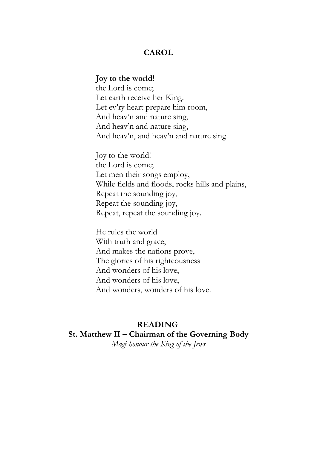#### **CAROL**

#### **Joy to the world!**

the Lord is come; Let earth receive her King. Let ev'ry heart prepare him room, And heav'n and nature sing, And heav'n and nature sing, And heav'n, and heav'n and nature sing.

Joy to the world! the Lord is come; Let men their songs employ, While fields and floods, rocks hills and plains, Repeat the sounding joy, Repeat the sounding joy, Repeat, repeat the sounding joy.

He rules the world With truth and grace, And makes the nations prove, The glories of his righteousness And wonders of his love, And wonders of his love, And wonders, wonders of his love.

### **READING**

# **St. Matthew II – Chairman of the Governing Body**

*Magi honour the King of the Jews*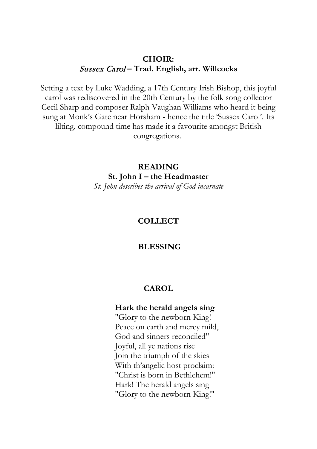### **CHOIR:** Sussex Carol **– Trad. English, arr. Willcocks**

Setting a text by Luke Wadding, a 17th Century Irish Bishop, this joyful carol was rediscovered in the 20th Century by the folk song collector Cecil Sharp and composer Ralph Vaughan Williams who heard it being sung at Monk's Gate near Horsham - hence the title 'Sussex Carol'. Its lilting, compound time has made it a favourite amongst British congregations.

> **READING St. John I – the Headmaster** *St. John describes the arrival of God incarnate*

#### **COLLECT**

#### **BLESSING**

#### **CAROL**

#### **Hark the herald angels sing**

"Glory to the newborn King! Peace on earth and mercy mild, God and sinners reconciled" Joyful, all ye nations rise Join the triumph of the skies With th'angelic host proclaim: "Christ is born in Bethlehem!" Hark! The herald angels sing "Glory to the newborn King!"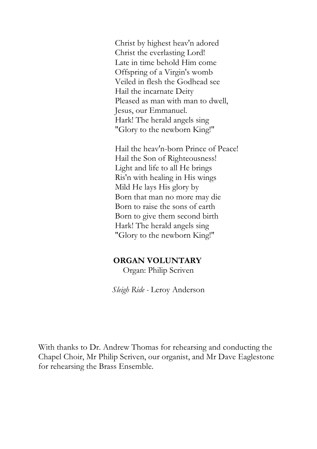Christ by highest heav'n adored Christ the everlasting Lord! Late in time behold Him come Offspring of a Virgin's womb Veiled in flesh the Godhead see Hail the incarnate Deity Pleased as man with man to dwell, Jesus, our Emmanuel. Hark! The herald angels sing "Glory to the newborn King!"

Hail the heav'n-born Prince of Peace! Hail the Son of Righteousness! Light and life to all He brings Ris'n with healing in His wings Mild He lays His glory by Born that man no more may die Born to raise the sons of earth Born to give them second birth Hark! The herald angels sing "Glory to the newborn King!"

### **ORGAN VOLUNTARY**

Organ: Philip Scriven

*Sleigh Ride -* Leroy Anderson

With thanks to Dr. Andrew Thomas for rehearsing and conducting the Chapel Choir, Mr Philip Scriven, our organist, and Mr Dave Eaglestone for rehearsing the Brass Ensemble.